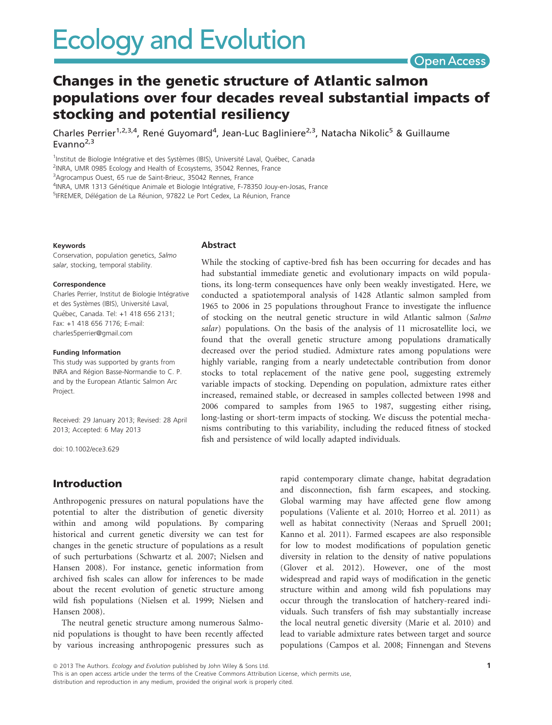**Open Access** 

# Changes in the genetic structure of Atlantic salmon populations over four decades reveal substantial impacts of stocking and potential resiliency

Charles Perrier<sup>1,2,3,4</sup>, René Guyomard<sup>4</sup>, Jean-Luc Bagliniere<sup>2,3</sup>, Natacha Nikolic<sup>5</sup> & Guillaume Evanno $^{2,3}$ 

<sup>1</sup>Institut de Biologie Intégrative et des Systèmes (IBIS), Université Laval, Québec, Canada

<sup>2</sup>INRA, UMR 0985 Ecology and Health of Ecosystems, 35042 Rennes, France

<sup>3</sup>Agrocampus Ouest, 65 rue de Saint-Brieuc, 35042 Rennes, France

<sup>4</sup>INRA, UMR 1313 Génétique Animale et Biologie Intégrative, F-78350 Jouy-en-Josas, France

<sup>5</sup>IFREMER, Délégation de La Réunion, 97822 Le Port Cedex, La Réunion, France

#### Keywords

Conservation, population genetics, Salmo salar, stocking, temporal stability.

#### Correspondence

Charles Perrier, Institut de Biologie Intégrative et des Systèmes (IBIS), Université Laval, Quebec, Canada. Tel: +1 418 656 2131; Fax: +1 418 656 7176; E-mail: charles5perrier@gmail.com

#### Funding Information

This study was supported by grants from INRA and Region Basse-Normandie to C. P. and by the European Atlantic Salmon Arc Project.

Received: 29 January 2013; Revised: 28 April 2013; Accepted: 6 May 2013

doi: 10.1002/ece3.629

Introduction

# Abstract

While the stocking of captive-bred fish has been occurring for decades and has had substantial immediate genetic and evolutionary impacts on wild populations, its long-term consequences have only been weakly investigated. Here, we conducted a spatiotemporal analysis of 1428 Atlantic salmon sampled from 1965 to 2006 in 25 populations throughout France to investigate the influence of stocking on the neutral genetic structure in wild Atlantic salmon (Salmo salar) populations. On the basis of the analysis of 11 microsatellite loci, we found that the overall genetic structure among populations dramatically decreased over the period studied. Admixture rates among populations were highly variable, ranging from a nearly undetectable contribution from donor stocks to total replacement of the native gene pool, suggesting extremely variable impacts of stocking. Depending on population, admixture rates either increased, remained stable, or decreased in samples collected between 1998 and 2006 compared to samples from 1965 to 1987, suggesting either rising, long-lasting or short-term impacts of stocking. We discuss the potential mechanisms contributing to this variability, including the reduced fitness of stocked fish and persistence of wild locally adapted individuals.

Anthropogenic pressures on natural populations have the potential to alter the distribution of genetic diversity within and among wild populations. By comparing historical and current genetic diversity we can test for changes in the genetic structure of populations as a result of such perturbations (Schwartz et al. 2007; Nielsen and Hansen 2008). For instance, genetic information from archived fish scales can allow for inferences to be made about the recent evolution of genetic structure among wild fish populations (Nielsen et al. 1999; Nielsen and Hansen 2008).

The neutral genetic structure among numerous Salmonid populations is thought to have been recently affected by various increasing anthropogenic pressures such as rapid contemporary climate change, habitat degradation and disconnection, fish farm escapees, and stocking. Global warming may have affected gene flow among populations (Valiente et al. 2010; Horreo et al. 2011) as well as habitat connectivity (Neraas and Spruell 2001; Kanno et al. 2011). Farmed escapees are also responsible for low to modest modifications of population genetic diversity in relation to the density of native populations (Glover et al. 2012). However, one of the most widespread and rapid ways of modification in the genetic structure within and among wild fish populations may occur through the translocation of hatchery-reared individuals. Such transfers of fish may substantially increase the local neutral genetic diversity (Marie et al. 2010) and lead to variable admixture rates between target and source populations (Campos et al. 2008; Finnengan and Stevens

ª 2013 The Authors. Ecology and Evolution published by John Wiley & Sons Ltd.

This is an open access article under the terms of the Creative Commons Attribution License, which permits use,

distribution and reproduction in any medium, provided the original work is properly cited.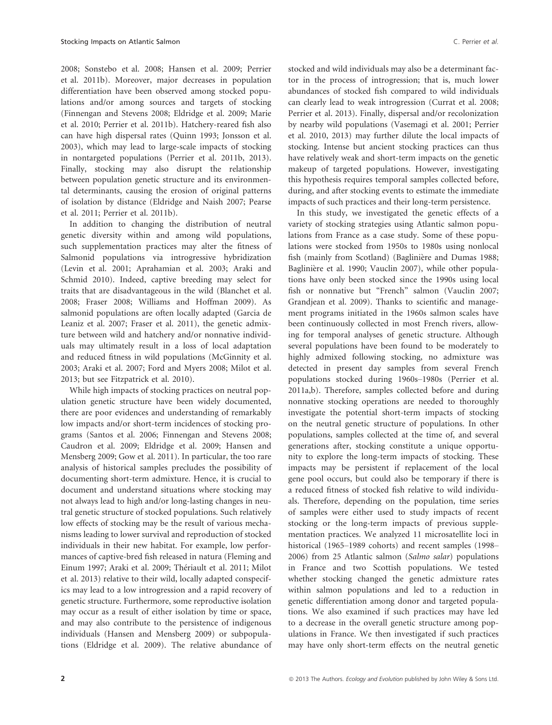2008; Sonstebo et al. 2008; Hansen et al. 2009; Perrier et al. 2011b). Moreover, major decreases in population differentiation have been observed among stocked populations and/or among sources and targets of stocking (Finnengan and Stevens 2008; Eldridge et al. 2009; Marie et al. 2010; Perrier et al. 2011b). Hatchery-reared fish also can have high dispersal rates (Quinn 1993; Jonsson et al. 2003), which may lead to large-scale impacts of stocking in nontargeted populations (Perrier et al. 2011b, 2013). Finally, stocking may also disrupt the relationship between population genetic structure and its environmental determinants, causing the erosion of original patterns of isolation by distance (Eldridge and Naish 2007; Pearse et al. 2011; Perrier et al. 2011b).

In addition to changing the distribution of neutral genetic diversity within and among wild populations, such supplementation practices may alter the fitness of Salmonid populations via introgressive hybridization (Levin et al. 2001; Aprahamian et al. 2003; Araki and Schmid 2010). Indeed, captive breeding may select for traits that are disadvantageous in the wild (Blanchet et al. 2008; Fraser 2008; Williams and Hoffman 2009). As salmonid populations are often locally adapted (Garcia de Leaniz et al. 2007; Fraser et al. 2011), the genetic admixture between wild and hatchery and/or nonnative individuals may ultimately result in a loss of local adaptation and reduced fitness in wild populations (McGinnity et al. 2003; Araki et al. 2007; Ford and Myers 2008; Milot et al. 2013; but see Fitzpatrick et al. 2010).

While high impacts of stocking practices on neutral population genetic structure have been widely documented, there are poor evidences and understanding of remarkably low impacts and/or short-term incidences of stocking programs (Santos et al. 2006; Finnengan and Stevens 2008; Caudron et al. 2009; Eldridge et al. 2009; Hansen and Mensberg 2009; Gow et al. 2011). In particular, the too rare analysis of historical samples precludes the possibility of documenting short-term admixture. Hence, it is crucial to document and understand situations where stocking may not always lead to high and/or long-lasting changes in neutral genetic structure of stocked populations. Such relatively low effects of stocking may be the result of various mechanisms leading to lower survival and reproduction of stocked individuals in their new habitat. For example, low performances of captive-bred fish released in natura (Fleming and Einum 1997; Araki et al. 2009; Thériault et al. 2011; Milot et al. 2013) relative to their wild, locally adapted conspecifics may lead to a low introgression and a rapid recovery of genetic structure. Furthermore, some reproductive isolation may occur as a result of either isolation by time or space, and may also contribute to the persistence of indigenous individuals (Hansen and Mensberg 2009) or subpopulations (Eldridge et al. 2009). The relative abundance of stocked and wild individuals may also be a determinant factor in the process of introgression; that is, much lower abundances of stocked fish compared to wild individuals can clearly lead to weak introgression (Currat et al. 2008; Perrier et al. 2013). Finally, dispersal and/or recolonization by nearby wild populations (Vasemagi et al. 2001; Perrier et al. 2010, 2013) may further dilute the local impacts of stocking. Intense but ancient stocking practices can thus have relatively weak and short-term impacts on the genetic makeup of targeted populations. However, investigating this hypothesis requires temporal samples collected before, during, and after stocking events to estimate the immediate impacts of such practices and their long-term persistence.

In this study, we investigated the genetic effects of a variety of stocking strategies using Atlantic salmon populations from France as a case study. Some of these populations were stocked from 1950s to 1980s using nonlocal fish (mainly from Scotland) (Baglinière and Dumas 1988; Baglinière et al. 1990; Vauclin 2007), while other populations have only been stocked since the 1990s using local fish or nonnative but "French" salmon (Vauclin 2007; Grandjean et al. 2009). Thanks to scientific and management programs initiated in the 1960s salmon scales have been continuously collected in most French rivers, allowing for temporal analyses of genetic structure. Although several populations have been found to be moderately to highly admixed following stocking, no admixture was detected in present day samples from several French populations stocked during 1960s–1980s (Perrier et al. 2011a,b). Therefore, samples collected before and during nonnative stocking operations are needed to thoroughly investigate the potential short-term impacts of stocking on the neutral genetic structure of populations. In other populations, samples collected at the time of, and several generations after, stocking constitute a unique opportunity to explore the long-term impacts of stocking. These impacts may be persistent if replacement of the local gene pool occurs, but could also be temporary if there is a reduced fitness of stocked fish relative to wild individuals. Therefore, depending on the population, time series of samples were either used to study impacts of recent stocking or the long-term impacts of previous supplementation practices. We analyzed 11 microsatellite loci in historical (1965–1989 cohorts) and recent samples (1998– 2006) from 25 Atlantic salmon (Salmo salar) populations in France and two Scottish populations. We tested whether stocking changed the genetic admixture rates within salmon populations and led to a reduction in genetic differentiation among donor and targeted populations. We also examined if such practices may have led to a decrease in the overall genetic structure among populations in France. We then investigated if such practices may have only short-term effects on the neutral genetic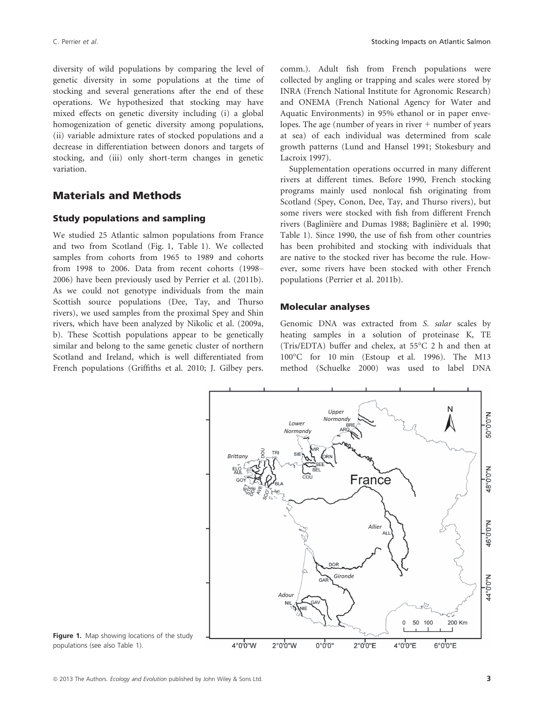diversity of wild populations by comparing the level of genetic diversity in some populations at the time of stocking and several generations after the end of these operations. We hypothesized that stocking may have mixed effects on genetic diversity including (i) a global homogenization of genetic diversity among populations, (ii) variable admixture rates of stocked populations and a decrease in differentiation between donors and targets of stocking, and (iii) only short-term changes in genetic variation.

### Materials and Methods

#### Study populations and sampling

We studied 25 Atlantic salmon populations from France and two from Scotland (Fig. 1, Table 1). We collected samples from cohorts from 1965 to 1989 and cohorts from 1998 to 2006. Data from recent cohorts (1998– 2006) have been previously used by Perrier et al. (2011b). As we could not genotype individuals from the main Scottish source populations (Dee, Tay, and Thurso rivers), we used samples from the proximal Spey and Shin rivers, which have been analyzed by Nikolic et al. (2009a, b). These Scottish populations appear to be genetically similar and belong to the same genetic cluster of northern Scotland and Ireland, which is well differentiated from French populations (Griffiths et al. 2010; J. Gilbey pers. comm.). Adult fish from French populations were collected by angling or trapping and scales were stored by INRA (French National Institute for Agronomic Research) and ONEMA (French National Agency for Water and Aquatic Environments) in 95% ethanol or in paper envelopes. The age (number of years in river  $+$  number of years at sea) of each individual was determined from scale growth patterns (Lund and Hansel 1991; Stokesbury and Lacroix 1997).

Supplementation operations occurred in many different rivers at different times. Before 1990, French stocking programs mainly used nonlocal fish originating from Scotland (Spey, Conon, Dee, Tay, and Thurso rivers), but some rivers were stocked with fish from different French rivers (Bagliniere and Dumas 1988; Bagliniere et al. 1990; Table 1). Since 1990, the use of fish from other countries has been prohibited and stocking with individuals that are native to the stocked river has become the rule. However, some rivers have been stocked with other French populations (Perrier et al. 2011b).

#### Molecular analyses

Genomic DNA was extracted from S. salar scales by heating samples in a solution of proteinase K, TE (Tris/EDTA) buffer and chelex, at 55°C 2 h and then at 100°C for 10 min (Estoup et al. 1996). The M13 method (Schuelke 2000) was used to label DNA



Figure 1. Map showing locations of the study populations (see also Table 1).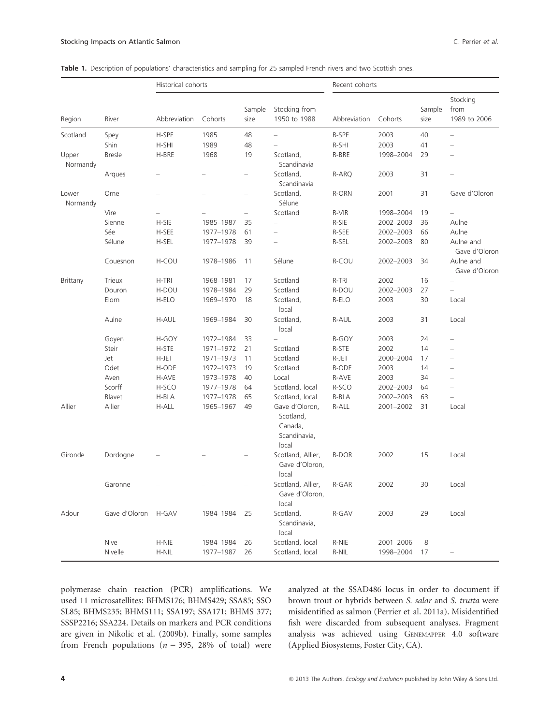Table 1. Description of populations' characteristics and sampling for 25 sampled French rivers and two Scottish ones.

|                   |               | Historical cohorts |           |                          |                                                                 | Recent cohorts |           |                |                                  |
|-------------------|---------------|--------------------|-----------|--------------------------|-----------------------------------------------------------------|----------------|-----------|----------------|----------------------------------|
| Region            | River         | Abbreviation       | Cohorts   | Sample<br>size           | Stocking from<br>1950 to 1988                                   | Abbreviation   | Cohorts   | Sample<br>size | Stocking<br>from<br>1989 to 2006 |
| Scotland          | Spey          | H-SPE              | 1985      | 48                       | $\overline{a}$                                                  | R-SPE          | 2003      | 40             | $\overline{\phantom{a}}$         |
|                   | Shin          | H-SHI              | 1989      | 48                       | $\overline{\phantom{0}}$                                        | R-SHI          | 2003      | 41             |                                  |
| Upper<br>Normandy | <b>Bresle</b> | H-BRE              | 1968      | 19                       | Scotland,<br>Scandinavia                                        | R-BRE          | 1998-2004 | 29             |                                  |
|                   | Arques        |                    |           |                          | Scotland,<br>Scandinavia                                        | R-ARQ          | 2003      | 31             |                                  |
| Lower<br>Normandy | Orne          |                    |           |                          | Scotland,<br>Sélune                                             | R-ORN          | 2001      | 31             | Gave d'Oloron                    |
|                   | Vire          |                    |           | $\overline{\phantom{0}}$ | Scotland                                                        | R-VIR          | 1998-2004 | 19             |                                  |
|                   | Sienne        | H-SIE              | 1985-1987 | 35                       |                                                                 | R-SIE          | 2002-2003 | 36             | Aulne                            |
|                   | Sée           | H-SEE              | 1977-1978 | 61                       |                                                                 | R-SEE          | 2002-2003 | 66             | Aulne                            |
|                   | Sélune        | H-SEL              | 1977-1978 | 39                       |                                                                 | R-SEL          | 2002-2003 | 80             | Aulne and<br>Gave d'Oloron       |
|                   | Couesnon      | H-COU              | 1978-1986 | 11                       | Sélune                                                          | R-COU          | 2002-2003 | 34             | Aulne and<br>Gave d'Oloron       |
| Brittany          | Trieux        | H-TRI              | 1968-1981 | 17                       | Scotland                                                        | R-TRI          | 2002      | 16             |                                  |
|                   | Douron        | H-DOU              | 1978-1984 | 29                       | Scotland                                                        | R-DOU          | 2002-2003 | 27             |                                  |
|                   | Elorn         | H-ELO              | 1969-1970 | 18                       | Scotland,<br>local                                              | R-ELO          | 2003      | 30             | Local                            |
|                   | Aulne         | <b>H-AUL</b>       | 1969-1984 | 30                       | Scotland,<br>local                                              | R-AUL          | 2003      | 31             | Local                            |
|                   | Goyen         | H-GOY              | 1972-1984 | 33                       | $\overline{\phantom{0}}$                                        | R-GOY          | 2003      | 24             |                                  |
|                   | Steir         | H-STE              | 1971-1972 | 21                       | Scotland                                                        | R-STE          | 2002      | 14             |                                  |
|                   | Jet           | H-JET              | 1971-1973 | 11                       | Scotland                                                        | R-JET          | 2000-2004 | 17             |                                  |
|                   | Odet          | H-ODE              | 1972-1973 | 19                       | Scotland                                                        | R-ODE          | 2003      | 14             |                                  |
|                   | Aven          | H-AVE              | 1973-1978 | 40                       | Local                                                           | R-AVE          | 2003      | 34             |                                  |
|                   | Scorff        | H-SCO              | 1977-1978 | 64                       | Scotland, local                                                 | R-SCO          | 2002-2003 | 64             |                                  |
|                   | Blavet        | H-BLA              | 1977-1978 | 65                       | Scotland, local                                                 | R-BLA          | 2002-2003 | 63             |                                  |
| Allier            | Allier        | H-ALL              | 1965-1967 | 49                       | Gave d'Oloron,<br>Scotland,<br>Canada,<br>Scandinavia,<br>local | R-ALL          | 2001-2002 | 31             | Local                            |
| Gironde           | Dordogne      |                    |           |                          | Scotland, Allier,<br>Gave d'Oloron,<br>local                    | R-DOR          | 2002      | 15             | Local                            |
|                   | Garonne       |                    |           |                          | Scotland, Allier,<br>Gave d'Oloron,<br>local                    | R-GAR<br>2002  |           | 30             | Local                            |
| Adour             | Gave d'Oloron | H-GAV              | 1984-1984 | 25                       | Scotland,<br>Scandinavia,<br>local                              | R-GAV          | 2003      | 29             | Local                            |
|                   | Nive          | H-NIE              | 1984-1984 | 26                       | Scotland, local                                                 | R-NIE          | 2001-2006 | 8              |                                  |
|                   | Nivelle       | H-NIL              | 1977-1987 | 26                       | Scotland, local                                                 | R-NIL          | 1998-2004 | 17             | $\overline{\phantom{a}}$         |

polymerase chain reaction (PCR) amplifications. We used 11 microsatellites: BHMS176; BHMS429; SSA85; SSO SL85; BHMS235; BHMS111; SSA197; SSA171; BHMS 377; SSSP2216; SSA224. Details on markers and PCR conditions are given in Nikolic et al. (2009b). Finally, some samples from French populations ( $n = 395$ , 28% of total) were

analyzed at the SSAD486 locus in order to document if brown trout or hybrids between S. salar and S. trutta were misidentified as salmon (Perrier et al. 2011a). Misidentified fish were discarded from subsequent analyses. Fragment analysis was achieved using GENEMAPPER 4.0 software (Applied Biosystems, Foster City, CA).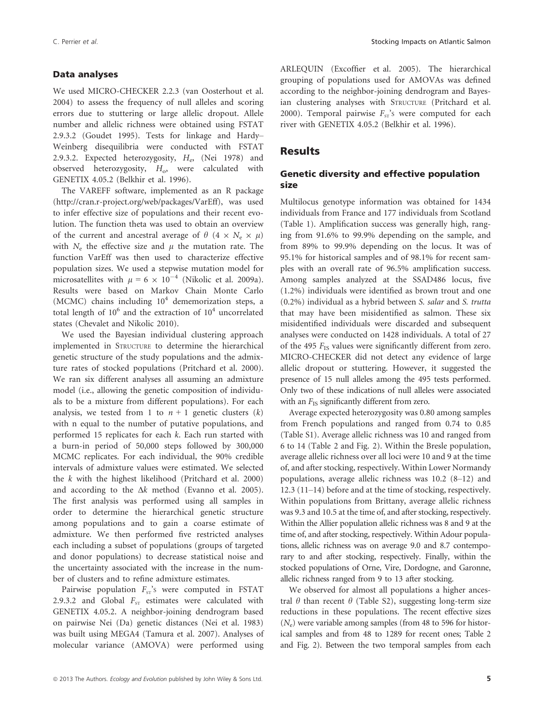#### Data analyses

We used MICRO-CHECKER 2.2.3 (van Oosterhout et al. 2004) to assess the frequency of null alleles and scoring errors due to stuttering or large allelic dropout. Allele number and allelic richness were obtained using FSTAT 2.9.3.2 (Goudet 1995). Tests for linkage and Hardy– Weinberg disequilibria were conducted with FSTAT 2.9.3.2. Expected heterozygosity, H<sub>e</sub>, (Nei 1978) and observed heterozygosity,  $H_0$ , were calculated with GENETIX 4.05.2 (Belkhir et al. 1996).

The VAREFF software, implemented as an R package (http://cran.r-project.org/web/packages/VarEff), was used to infer effective size of populations and their recent evolution. The function theta was used to obtain an overview of the current and ancestral average of  $\theta$  (4  $\times$  N<sub>e</sub>  $\times$   $\mu$ ) with  $N_e$  the effective size and  $\mu$  the mutation rate. The function VarEff was then used to characterize effective population sizes. We used a stepwise mutation model for microsatellites with  $\mu = 6 \times 10^{-4}$  (Nikolic et al. 2009a). Results were based on Markov Chain Monte Carlo (MCMC) chains including  $10<sup>4</sup>$  dememorization steps, a total length of  $10^6$  and the extraction of  $10^4$  uncorrelated states (Chevalet and Nikolic 2010).

We used the Bayesian individual clustering approach implemented in STRUCTURE to determine the hierarchical genetic structure of the study populations and the admixture rates of stocked populations (Pritchard et al. 2000). We ran six different analyses all assuming an admixture model (i.e., allowing the genetic composition of individuals to be a mixture from different populations). For each analysis, we tested from 1 to  $n + 1$  genetic clusters  $(k)$ with n equal to the number of putative populations, and performed 15 replicates for each k. Each run started with a burn-in period of 50,000 steps followed by 300,000 MCMC replicates. For each individual, the 90% credible intervals of admixture values were estimated. We selected the  $k$  with the highest likelihood (Pritchard et al. 2000) and according to the  $\Delta k$  method (Evanno et al. 2005). The first analysis was performed using all samples in order to determine the hierarchical genetic structure among populations and to gain a coarse estimate of admixture. We then performed five restricted analyses each including a subset of populations (groups of targeted and donor populations) to decrease statistical noise and the uncertainty associated with the increase in the number of clusters and to refine admixture estimates.

Pairwise population  $F_{ST}$ 's were computed in FSTAT 2.9.3.2 and Global  $F_{ST}$  estimates were calculated with GENETIX 4.05.2. A neighbor-joining dendrogram based on pairwise Nei (Da) genetic distances (Nei et al. 1983) was built using MEGA4 (Tamura et al. 2007). Analyses of molecular variance (AMOVA) were performed using ARLEQUIN (Excoffier et al. 2005). The hierarchical grouping of populations used for AMOVAs was defined according to the neighbor-joining dendrogram and Bayesian clustering analyses with STRUCTURE (Pritchard et al. 2000). Temporal pairwise  $F_{ST}$ 's were computed for each river with GENETIX 4.05.2 (Belkhir et al. 1996).

### Results

#### Genetic diversity and effective population size

Multilocus genotype information was obtained for 1434 individuals from France and 177 individuals from Scotland (Table 1). Amplification success was generally high, ranging from 91.6% to 99.9% depending on the sample, and from 89% to 99.9% depending on the locus. It was of 95.1% for historical samples and of 98.1% for recent samples with an overall rate of 96.5% amplification success. Among samples analyzed at the SSAD486 locus, five (1.2%) individuals were identified as brown trout and one (0.2%) individual as a hybrid between S. salar and S. trutta that may have been misidentified as salmon. These six misidentified individuals were discarded and subsequent analyses were conducted on 1428 individuals. A total of 27 of the 495  $F_{IS}$  values were significantly different from zero. MICRO-CHECKER did not detect any evidence of large allelic dropout or stuttering. However, it suggested the presence of 15 null alleles among the 495 tests performed. Only two of these indications of null alleles were associated with an  $F_{IS}$  significantly different from zero.

Average expected heterozygosity was 0.80 among samples from French populations and ranged from 0.74 to 0.85 (Table S1). Average allelic richness was 10 and ranged from 6 to 14 (Table 2 and Fig. 2). Within the Bresle population, average allelic richness over all loci were 10 and 9 at the time of, and after stocking, respectively. Within Lower Normandy populations, average allelic richness was 10.2 (8–12) and 12.3 (11–14) before and at the time of stocking, respectively. Within populations from Brittany, average allelic richness was 9.3 and 10.5 at the time of, and after stocking, respectively. Within the Allier population allelic richness was 8 and 9 at the time of, and after stocking, respectively. Within Adour populations, allelic richness was on average 9.0 and 8.7 contemporary to and after stocking, respectively. Finally, within the stocked populations of Orne, Vire, Dordogne, and Garonne, allelic richness ranged from 9 to 13 after stocking.

We observed for almost all populations a higher ancestral  $\theta$  than recent  $\theta$  (Table S2), suggesting long-term size reductions in these populations. The recent effective sizes  $(N_e)$  were variable among samples (from 48 to 596 for historical samples and from 48 to 1289 for recent ones; Table 2 and Fig. 2). Between the two temporal samples from each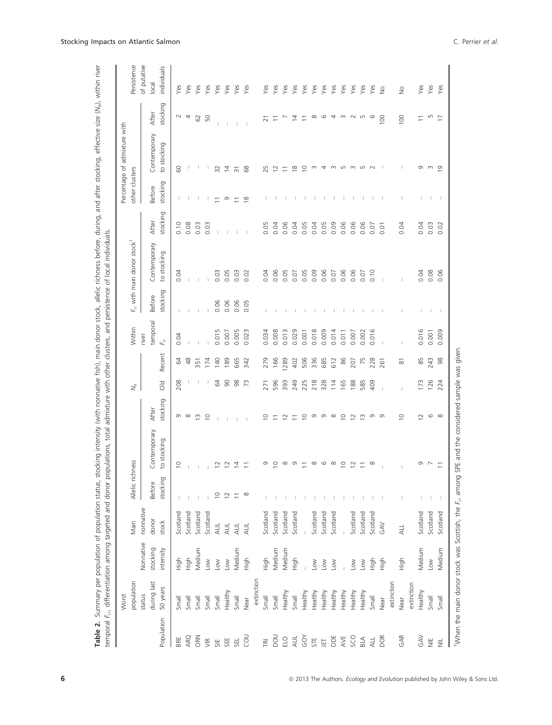| High<br>High<br>High<br>High<br>High<br>$\mathsf{L}\mathsf{OW}$<br>$\sqrt{2}$<br>Low<br>extinction<br>during last<br>50 years<br>Healthy<br>Healthy<br>Healthy<br>status<br>Small<br>Small<br>Small<br>Small<br>Small<br>Small<br>Small<br>Small<br>Small<br>Near<br>Population<br>g<br>mod<br>GOY<br>ARQ<br>ORN<br>ELO<br>AUL<br>BRE<br>SEE<br>$\frac{1}{2}$<br>SEL<br>$\overline{\mathbb{E}}$ | Nonnative<br>stocking<br>intensity<br>Medium<br>Medium<br>Medium<br>Medium | nonnative<br>Scotland<br>Scotland<br>Scotland<br>Scotland<br>donor<br>stock<br>AUL<br>AUL<br>AUL<br>AUL | Before         | Allelic richness            |                    | $\aleph_{\mathrm{e}}$ |                     | Within                        |                           | $F_{\rm sr}$ with main donor stock <sup>1</sup> |                   | Percentage of admixture with<br>other clusters |                             |                   | Persistence                         |
|-------------------------------------------------------------------------------------------------------------------------------------------------------------------------------------------------------------------------------------------------------------------------------------------------------------------------------------------------------------------------------------------------|----------------------------------------------------------------------------|---------------------------------------------------------------------------------------------------------|----------------|-----------------------------|--------------------|-----------------------|---------------------|-------------------------------|---------------------------|-------------------------------------------------|-------------------|------------------------------------------------|-----------------------------|-------------------|-------------------------------------|
|                                                                                                                                                                                                                                                                                                                                                                                                 |                                                                            |                                                                                                         | stocking       | Contemporary<br>to stocking | stocking<br>After  | $\frac{1}{2}$         | Recent              | temporal<br>river<br>$F_{51}$ | stocking<br><b>Before</b> | Contemporary<br>to stocking                     | stocking<br>After | stocking<br>Before                             | Contemporary<br>to stocking | stocking<br>After | of putative<br>individuals<br>local |
|                                                                                                                                                                                                                                                                                                                                                                                                 |                                                                            |                                                                                                         |                | $\supseteq$                 | G                  | 208                   | 2                   | 0.04                          |                           | 0.04                                            | 0.10              |                                                | 8                           | $\sim$            | Yes                                 |
|                                                                                                                                                                                                                                                                                                                                                                                                 |                                                                            |                                                                                                         |                |                             | $\infty$           |                       | 48                  |                               |                           |                                                 | 0.08              |                                                |                             | 4                 | Yes                                 |
|                                                                                                                                                                                                                                                                                                                                                                                                 |                                                                            |                                                                                                         |                |                             | $\tilde{=}$        |                       | 351                 |                               |                           |                                                 | 0.03              |                                                |                             | 62                | Yes                                 |
|                                                                                                                                                                                                                                                                                                                                                                                                 |                                                                            |                                                                                                         |                |                             | $\overline{0}$     |                       | 174                 |                               |                           |                                                 | 0.03              |                                                |                             | SO                | Yes                                 |
|                                                                                                                                                                                                                                                                                                                                                                                                 |                                                                            |                                                                                                         | $\overline{0}$ | $\overline{C}$              |                    | 2                     | 140                 | 0.015                         | 0.06                      | 0.03                                            |                   | $\overline{a}$                                 | 32                          |                   | Yes                                 |
|                                                                                                                                                                                                                                                                                                                                                                                                 |                                                                            |                                                                                                         | $\approx$      | $\overline{12}$             |                    | $\infty$              | 189                 | 0.007                         | 0.06                      | 0.05                                            |                   | $\circ$                                        | $\overline{4}$              |                   | Yes                                 |
|                                                                                                                                                                                                                                                                                                                                                                                                 |                                                                            |                                                                                                         | $\overline{1}$ | $\overline{4}$              |                    | 98                    | 665                 | 0.005                         | 0.06                      | 0.03                                            |                   | $\equiv$                                       | $\overline{5}$              |                   | yes                                 |
|                                                                                                                                                                                                                                                                                                                                                                                                 |                                                                            |                                                                                                         | $\infty$       | $\overline{a}$              |                    | 73                    | 342                 | 0.023                         | 0.05                      | 0.02                                            |                   | $\frac{8}{2}$                                  | 89                          |                   | Yes                                 |
|                                                                                                                                                                                                                                                                                                                                                                                                 |                                                                            |                                                                                                         |                |                             |                    |                       |                     |                               |                           |                                                 |                   |                                                |                             |                   |                                     |
|                                                                                                                                                                                                                                                                                                                                                                                                 |                                                                            | Scotland                                                                                                |                | Ō                           | ≘                  | 271                   | 279                 | 0.034                         |                           | 0.04                                            | 0.05              |                                                | 25                          | Ń                 | Yes                                 |
|                                                                                                                                                                                                                                                                                                                                                                                                 |                                                                            | Scotland                                                                                                |                | $\subseteq$                 | $\equiv$           | 596                   | 166                 | 0.008                         |                           | 0.06                                            | 0.04              |                                                | $\bar{\mathbf{C}}$          |                   | Yes                                 |
|                                                                                                                                                                                                                                                                                                                                                                                                 |                                                                            | Scotland                                                                                                |                | $\infty$                    | $\approx$          | 393                   | 289                 | 0.013                         | $\overline{\phantom{a}}$  | 0.05                                            | 0.06              |                                                | $\overline{\phantom{0}}$    |                   | Yes                                 |
|                                                                                                                                                                                                                                                                                                                                                                                                 |                                                                            | Scotland                                                                                                |                | O                           | $\equiv$           | 249                   | 402                 | 0.029                         | $\overline{1}$            | 0.07                                            | 0.04              |                                                | $\frac{8}{1}$               | $\overline{4}$    | Yes                                 |
|                                                                                                                                                                                                                                                                                                                                                                                                 |                                                                            |                                                                                                         |                |                             | $\supseteq$        | 225                   | 506                 | 0.001                         | $\overline{\phantom{a}}$  | 0.05                                            | 0.05              |                                                | $\overline{0}$              |                   | Yes                                 |
| Healthy<br>STE                                                                                                                                                                                                                                                                                                                                                                                  | $\mathsf{Low}$                                                             | Scotland                                                                                                |                | $\infty$                    | $\omega$           | 218                   | 336                 | 0.018                         |                           | 0.09                                            | 0.04              |                                                | $\sim$                      | $\infty$          | Yes                                 |
| Low<br>Healthy<br>冒                                                                                                                                                                                                                                                                                                                                                                             |                                                                            | Scotland                                                                                                |                | $\circ$                     | o,                 | 328                   | 685                 | 0.009                         | $\mathbf{I}$              | 0.06                                            | 0.05              |                                                | 4                           | $\circ$           | Yes                                 |
| Low<br>Healthy<br>ODE                                                                                                                                                                                                                                                                                                                                                                           |                                                                            | Scotland                                                                                                |                | $\infty$                    | $\infty$           | 114                   | 612                 | 0.014                         | $\mathbb{I}$              | 0.07                                            | 0.09              |                                                | S                           | 4                 | Yes                                 |
| Healthy<br>AVE                                                                                                                                                                                                                                                                                                                                                                                  |                                                                            |                                                                                                         |                | $\subseteq$                 | $\supseteq$        | 165                   | 86                  | 0.011                         | т                         | 0.06                                            | 0.06              |                                                | m                           | $\sim$            | Yes                                 |
| Low<br>Healthy<br>SCO                                                                                                                                                                                                                                                                                                                                                                           |                                                                            | Scotland                                                                                                |                | $\tilde{c}$                 | $\bar{\mathbf{r}}$ | 188                   | 207                 | 0.007                         | $\mathbf{I}$              | 0.06                                            | 0.06              |                                                | $\sim$                      | $\sim$ $\,$ m     | Yes                                 |
| Low<br>Healthy<br>ВLA                                                                                                                                                                                                                                                                                                                                                                           |                                                                            | Scotland                                                                                                |                | $\equiv$                    | $\bar{\omega}$     | 585                   | 75                  | 0.002                         | $\mathbf{I}$              | 0.07                                            | 0.06              |                                                | LN.                         |                   | yes                                 |
| High<br>Small<br>ALL                                                                                                                                                                                                                                                                                                                                                                            |                                                                            | Scotland                                                                                                |                | $\infty$                    | ന                  | 409                   | 228                 | 0.016                         | $\mathbf{I}$              | 0.10                                            | 0.07              |                                                | $\sim$                      | $\circ$           | Yes                                 |
| High<br>Near<br>DOR                                                                                                                                                                                                                                                                                                                                                                             |                                                                            | <b>GAV</b>                                                                                              |                |                             | $\sigma$           |                       | 261                 |                               | $\overline{\phantom{a}}$  |                                                 | $\overline{0}$    | $\overline{\phantom{a}}$                       |                             | 100               | $\frac{1}{2}$                       |
| extinction                                                                                                                                                                                                                                                                                                                                                                                      |                                                                            |                                                                                                         |                |                             |                    |                       |                     |                               |                           |                                                 |                   |                                                |                             |                   |                                     |
| High<br>Near<br>GAR                                                                                                                                                                                                                                                                                                                                                                             |                                                                            | ALL                                                                                                     |                |                             | $\subseteq$        |                       | $\overline{\infty}$ |                               |                           |                                                 | 0.04              |                                                | $\overline{1}$              | 100               | $\frac{1}{2}$                       |
| extinction                                                                                                                                                                                                                                                                                                                                                                                      |                                                                            |                                                                                                         |                |                             |                    |                       |                     |                               |                           |                                                 |                   |                                                |                             |                   |                                     |
| Healthy<br><b>GAV</b>                                                                                                                                                                                                                                                                                                                                                                           | Medium                                                                     | Scotland                                                                                                |                | G                           | $\simeq$           | 173                   | 85                  | 0.016                         | $\mathbf{I}$              | 0.04                                            | 0.04              |                                                | G                           |                   | Yes                                 |
| Low<br>Small<br>$\equiv$                                                                                                                                                                                                                                                                                                                                                                        |                                                                            | Scotland                                                                                                |                |                             | $\circ$ $\infty$   | 126                   | 243                 | 0.001                         | $\overline{1}$            | 0.08                                            | 0.03              |                                                | $\sim$                      | 57                | Yes                                 |
| Small<br>$\equiv$                                                                                                                                                                                                                                                                                                                                                                               | Medium                                                                     | Scotland                                                                                                | $\mathbb{I}$   | $\overline{\phantom{0}}$    |                    | 224                   | $98$                | 0.009                         | $\mathbb{I}$              | 0.06                                            | 0.02              | J.                                             | $\overline{0}$              |                   | Yes                                 |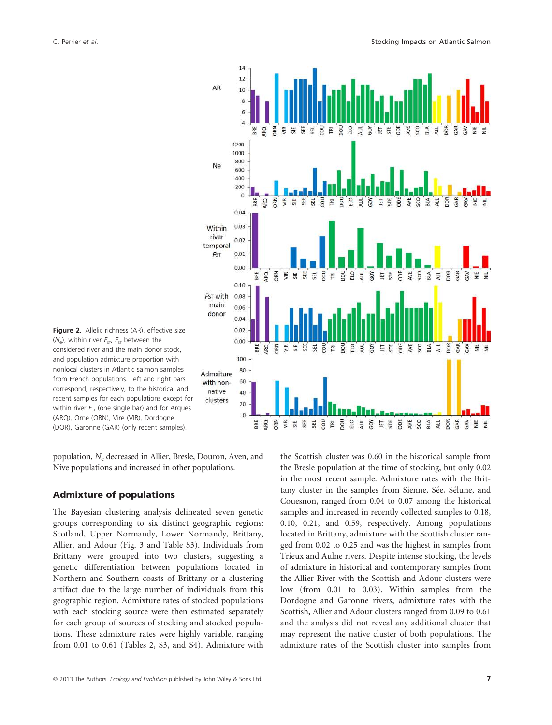

Figure 2. Allelic richness (AR), effective size  $(N_e)$ , within river  $F_{ST}$ ,  $F_{ST}$  between the considered river and the main donor stock, and population admixture proportion with nonlocal clusters in Atlantic salmon samples from French populations. Left and right bars correspond, respectively, to the historical and recent samples for each populations except for within river  $F_{ST}$  (one single bar) and for Arques (ARQ), Orne (ORN), Vire (VIR), Dordogne (DOR), Garonne (GAR) (only recent samples).

population, N<sup>e</sup> decreased in Allier, Bresle, Douron, Aven, and Nive populations and increased in other populations.

#### Admixture of populations

The Bayesian clustering analysis delineated seven genetic groups corresponding to six distinct geographic regions: Scotland, Upper Normandy, Lower Normandy, Brittany, Allier, and Adour (Fig. 3 and Table S3). Individuals from Brittany were grouped into two clusters, suggesting a genetic differentiation between populations located in Northern and Southern coasts of Brittany or a clustering artifact due to the large number of individuals from this geographic region. Admixture rates of stocked populations with each stocking source were then estimated separately for each group of sources of stocking and stocked populations. These admixture rates were highly variable, ranging from 0.01 to 0.61 (Tables 2, S3, and S4). Admixture with the Bresle population at the time of stocking, but only 0.02 in the most recent sample. Admixture rates with the Brittany cluster in the samples from Sienne, Sée, Sélune, and Couesnon, ranged from 0.04 to 0.07 among the historical samples and increased in recently collected samples to 0.18, 0.10, 0.21, and 0.59, respectively. Among populations located in Brittany, admixture with the Scottish cluster ranged from 0.02 to 0.25 and was the highest in samples from Trieux and Aulne rivers. Despite intense stocking, the levels of admixture in historical and contemporary samples from the Allier River with the Scottish and Adour clusters were low (from 0.01 to 0.03). Within samples from the Dordogne and Garonne rivers, admixture rates with the Scottish, Allier and Adour clusters ranged from 0.09 to 0.61 and the analysis did not reveal any additional cluster that may represent the native cluster of both populations. The admixture rates of the Scottish cluster into samples from

the Scottish cluster was 0.60 in the historical sample from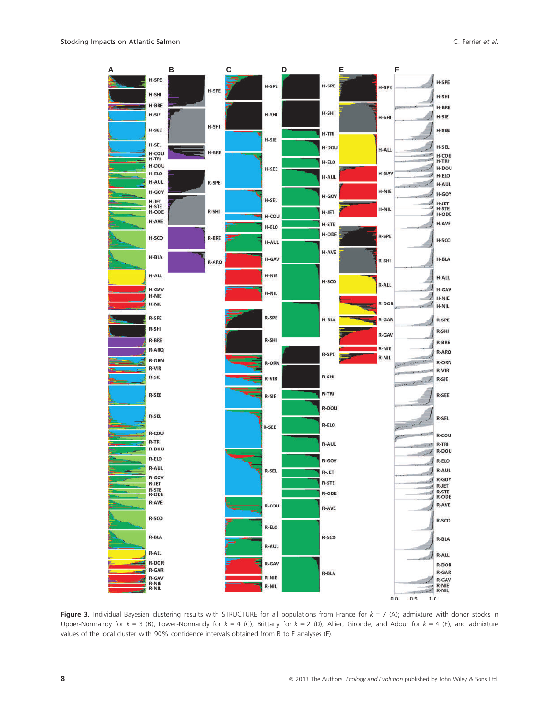| Α |                              | в |              | C   |              | D |              | Ε |              | F                                                                     |                              |
|---|------------------------------|---|--------------|-----|--------------|---|--------------|---|--------------|-----------------------------------------------------------------------|------------------------------|
|   | H-SPE                        |   | <b>H-SPE</b> |     | H-SPE        |   | <b>H-SPE</b> |   | <b>H-SPE</b> |                                                                       | <b>H-SPE</b>                 |
|   | H-SHI                        |   |              |     |              |   |              |   |              |                                                                       | H-SHI                        |
|   | H-BRE<br>H-SIE               |   |              |     | H-SHI        |   | H-SHI        |   | H-SHI        |                                                                       | H-BRE<br>$H-SIE$             |
|   | H-SEE                        |   | H-SHI        |     |              |   |              |   |              |                                                                       | <b>H-SEE</b>                 |
|   |                              |   |              |     | H-SIE        |   | H-TRI        |   |              |                                                                       |                              |
|   | H-SEL<br>H-COU               |   | H-BRE        |     |              |   | H-DOU        |   | <b>H-ALL</b> |                                                                       | <b>H-SEL</b><br>H-COU        |
|   | H-TRI<br>H-DOU               |   |              |     |              |   | H-ELO        |   |              |                                                                       | H-TRI<br>H-DOU               |
|   | H-ELO                        |   |              |     | H-SEE        |   | <b>H-AUL</b> |   | H-GAV        |                                                                       | H-ELO                        |
|   | <b>H-AUL</b><br>H-GOY        |   | <b>R-SPE</b> |     |              |   |              |   | H-NIE        |                                                                       | <b>H-AUL</b>                 |
|   | H-JET<br>H-STE               |   |              |     | H-SEL        |   | H-GOY        |   |              |                                                                       | H-GOY<br><b>H-JET</b>        |
|   | H-ODE                        |   | R-SHI        |     | H-COU        |   | <b>H-JET</b> |   | H-NIL        |                                                                       | <b>H-STE</b><br>H-ODE        |
|   | <b>H-AVE</b>                 |   |              |     | H-ELO        |   | H-STE        |   |              |                                                                       | <b>H-AVE</b>                 |
|   | H-SCO                        |   | <b>R-BRE</b> |     |              |   | H-ODE        |   | <b>R-SPE</b> |                                                                       | H-SCO                        |
|   |                              |   |              |     | <b>H-AUL</b> |   | <b>H-AVE</b> |   |              |                                                                       |                              |
|   | H-BLA                        |   | <b>R-ARQ</b> |     | <b>H-GAV</b> |   |              |   | R-SHI        |                                                                       | H-BLA                        |
|   | H-ALL                        |   |              |     | H-NIE        |   |              |   |              |                                                                       | <b>H-ALL</b>                 |
|   | H-GAV                        |   |              |     |              |   | H-SCO        |   | R-ALL        |                                                                       | H-GAV                        |
|   | H-NIE                        |   |              |     | H-NIL        |   |              |   | <b>R-DOR</b> |                                                                       | H-NIE                        |
|   | H-NIL                        |   |              |     |              |   |              |   |              |                                                                       | H-NIL                        |
|   | <b>R-SPE</b><br><b>R-SHI</b> |   |              |     | <b>R-SPE</b> |   | H-BLA        |   | <b>R-GAR</b> |                                                                       | <b>R-SPE</b>                 |
|   | <b>R-BRE</b>                 |   |              |     | <b>R-SHI</b> |   |              |   | <b>R-GAV</b> |                                                                       | R-SHI                        |
|   | R-ARQ                        |   |              |     |              |   |              |   | R-NIE        |                                                                       | <b>R-BRE</b><br>R-ARQ        |
|   | R-ORN                        |   |              |     | <b>R-ORN</b> |   | <b>R-SPE</b> |   | <b>R-NIL</b> | $1 - 17$                                                              | <b>R-ORN</b>                 |
|   | R-VIR                        |   |              |     |              |   |              |   |              |                                                                       | R-VIR                        |
|   | <b>R-SIE</b>                 |   |              |     | R-VIR        |   | R-SHI        |   |              | when a group                                                          | R-SIE                        |
|   | <b>R-SEE</b>                 |   |              |     | <b>R-SIE</b> |   | R-TRI        |   |              |                                                                       | <b>R-SEE</b>                 |
|   |                              |   |              |     |              |   | R-DOU        |   |              |                                                                       |                              |
|   | <b>R-SEL</b>                 |   |              |     |              |   | R-ELO        |   |              | $\begin{array}{c} \bullet & \bullet \\ \bullet & \bullet \end{array}$ | <b>R-SEL</b>                 |
|   | R-COU                        |   |              |     | <b>R-SEE</b> |   |              |   |              |                                                                       | R-COU                        |
|   | R-TRI<br>R-DOU               |   |              |     |              |   | <b>R-AUL</b> |   |              |                                                                       | <b>R-TRI</b><br>R-DOU        |
|   | R-ELO                        |   |              |     |              |   | R-GOY        |   |              |                                                                       | R-ELO                        |
|   | <b>R-AUL</b>                 |   |              |     | <b>R-SEL</b> |   | R-JET        |   |              |                                                                       | <b>R-AUL</b>                 |
|   | R-GOY<br><b>K-TEL</b>        |   |              |     |              |   | <b>R-STE</b> |   |              | a d                                                                   | <b>R-GOY</b><br><b>R-JET</b> |
|   | <b>R-STE</b><br>R-ODE        |   |              |     |              |   | <b>R-ODE</b> |   |              | $\cdot$ /                                                             | <b>R-STE<br/>R-ODE</b>       |
|   | R-AVE                        |   |              |     | R-COU        |   | <b>R-AVE</b> |   |              |                                                                       | <b>R-AVE</b>                 |
|   | R-SCO                        |   |              |     |              |   |              |   |              |                                                                       | R-SCO                        |
|   |                              |   |              |     | R-ELO        |   |              |   |              |                                                                       |                              |
|   | R-BLA                        |   |              | جشا | <b>R-AUL</b> |   | R-SCO        |   |              |                                                                       | R-BLA                        |
|   | R-ALL                        |   |              |     |              |   |              |   |              |                                                                       | R-ALL                        |
|   | <b>R-DOR</b><br><b>R-GAR</b> |   |              |     | <b>R-GAV</b> |   | R-BLA        |   |              |                                                                       | <b>R-DOR</b><br><b>R-GAR</b> |
|   | R-GAV                        |   |              |     | R-NIE        |   |              |   |              |                                                                       | <b>R-GAV</b>                 |
|   | R-NIE<br>R-NIL               |   |              |     | R-NIL        |   |              |   |              |                                                                       | R-NIE<br>R-NIL               |
|   |                              |   |              |     |              |   |              |   |              | 0.5<br>1.0<br>0.0                                                     |                              |

Figure 3. Individual Bayesian clustering results with STRUCTURE for all populations from France for  $k = 7$  (A); admixture with donor stocks in Upper-Normandy for  $k = 3$  (B); Lower-Normandy for  $k = 4$  (C); Brittany for  $k = 2$  (D); Allier, Gironde, and Adour for  $k = 4$  (E); and admixture values of the local cluster with 90% confidence intervals obtained from B to E analyses (F).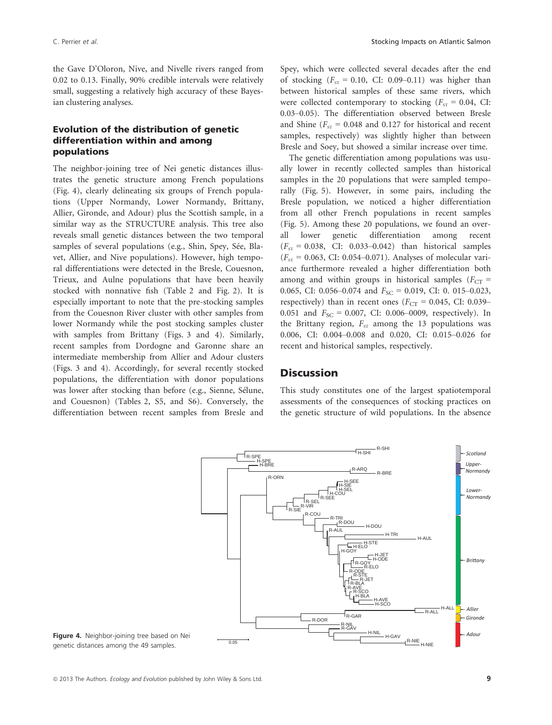the Gave D'Oloron, Nive, and Nivelle rivers ranged from 0.02 to 0.13. Finally, 90% credible intervals were relatively small, suggesting a relatively high accuracy of these Bayesian clustering analyses.

### Evolution of the distribution of genetic differentiation within and among populations

The neighbor-joining tree of Nei genetic distances illustrates the genetic structure among French populations (Fig. 4), clearly delineating six groups of French populations (Upper Normandy, Lower Normandy, Brittany, Allier, Gironde, and Adour) plus the Scottish sample, in a similar way as the STRUCTURE analysis. This tree also reveals small genetic distances between the two temporal samples of several populations (e.g., Shin, Spey, Sée, Blavet, Allier, and Nive populations). However, high temporal differentiations were detected in the Bresle, Couesnon, Trieux, and Aulne populations that have been heavily stocked with nonnative fish (Table 2 and Fig. 2). It is especially important to note that the pre-stocking samples from the Couesnon River cluster with other samples from lower Normandy while the post stocking samples cluster with samples from Brittany (Figs. 3 and 4). Similarly, recent samples from Dordogne and Garonne share an intermediate membership from Allier and Adour clusters (Figs. 3 and 4). Accordingly, for several recently stocked populations, the differentiation with donor populations was lower after stocking than before (e.g., Sienne, Selune, and Couesnon) (Tables 2, S5, and S6). Conversely, the differentiation between recent samples from Bresle and

Spey, which were collected several decades after the end of stocking  $(F_{ST} = 0.10, \text{ CI: } 0.09{\text -}0.11)$  was higher than between historical samples of these same rivers, which were collected contemporary to stocking ( $F_{ST} = 0.04$ , CI: 0.03–0.05). The differentiation observed between Bresle and Shine ( $F_{ST}$  = 0.048 and 0.127 for historical and recent samples, respectively) was slightly higher than between Bresle and Soey, but showed a similar increase over time.

The genetic differentiation among populations was usually lower in recently collected samples than historical samples in the 20 populations that were sampled temporally (Fig. 5). However, in some pairs, including the Bresle population, we noticed a higher differentiation from all other French populations in recent samples (Fig. 5). Among these 20 populations, we found an overall lower genetic differentiation among recent  $(F_{ST} = 0.038, \text{ CI: } 0.033{\text{-}}0.042)$  than historical samples  $(F_{ST} = 0.063, \text{ CI: } 0.054 - 0.071)$ . Analyses of molecular variance furthermore revealed a higher differentiation both among and within groups in historical samples ( $F_{CT}$  = 0.065, CI: 0.056–0.074 and  $F_{SC} = 0.019$ , CI: 0. 015–0.023, respectively) than in recent ones ( $F_{CT} = 0.045$ , CI: 0.039– 0.051 and  $F_{SC} = 0.007$ , CI: 0.006-0009, respectively). In the Brittany region,  $F_{ST}$  among the 13 populations was 0.006, CI: 0.004–0.008 and 0.020, CI: 0.015–0.026 for recent and historical samples, respectively.

### **Discussion**

This study constitutes one of the largest spatiotemporal assessments of the consequences of stocking practices on the genetic structure of wild populations. In the absence



Figure 4. Neighbor-joining tree based on Nei genetic distances among the 49 samples.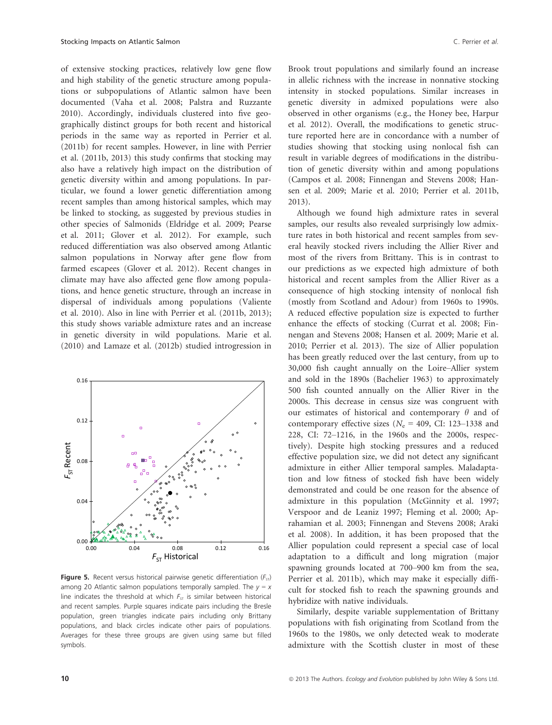of extensive stocking practices, relatively low gene flow and high stability of the genetic structure among populations or subpopulations of Atlantic salmon have been documented (Vaha et al. 2008; Palstra and Ruzzante 2010). Accordingly, individuals clustered into five geographically distinct groups for both recent and historical periods in the same way as reported in Perrier et al. (2011b) for recent samples. However, in line with Perrier et al. (2011b, 2013) this study confirms that stocking may also have a relatively high impact on the distribution of genetic diversity within and among populations. In particular, we found a lower genetic differentiation among recent samples than among historical samples, which may be linked to stocking, as suggested by previous studies in other species of Salmonids (Eldridge et al. 2009; Pearse et al. 2011; Glover et al. 2012). For example, such reduced differentiation was also observed among Atlantic salmon populations in Norway after gene flow from farmed escapees (Glover et al. 2012). Recent changes in climate may have also affected gene flow among populations, and hence genetic structure, through an increase in dispersal of individuals among populations (Valiente et al. 2010). Also in line with Perrier et al. (2011b, 2013); this study shows variable admixture rates and an increase in genetic diversity in wild populations. Marie et al. (2010) and Lamaze et al. (2012b) studied introgression in



**Figure 5.** Recent versus historical pairwise genetic differentiation ( $F_{ST}$ ) among 20 Atlantic salmon populations temporally sampled. The  $y = x$ line indicates the threshold at which  $F_{ST}$  is similar between historical and recent samples. Purple squares indicate pairs including the Bresle population, green triangles indicate pairs including only Brittany populations, and black circles indicate other pairs of populations. Averages for these three groups are given using same but filled symbols.

Brook trout populations and similarly found an increase in allelic richness with the increase in nonnative stocking intensity in stocked populations. Similar increases in genetic diversity in admixed populations were also observed in other organisms (e.g., the Honey bee, Harpur et al. 2012). Overall, the modifications to genetic structure reported here are in concordance with a number of studies showing that stocking using nonlocal fish can result in variable degrees of modifications in the distribution of genetic diversity within and among populations (Campos et al. 2008; Finnengan and Stevens 2008; Hansen et al. 2009; Marie et al. 2010; Perrier et al. 2011b, 2013).

Although we found high admixture rates in several samples, our results also revealed surprisingly low admixture rates in both historical and recent samples from several heavily stocked rivers including the Allier River and most of the rivers from Brittany. This is in contrast to our predictions as we expected high admixture of both historical and recent samples from the Allier River as a consequence of high stocking intensity of nonlocal fish (mostly from Scotland and Adour) from 1960s to 1990s. A reduced effective population size is expected to further enhance the effects of stocking (Currat et al. 2008; Finnengan and Stevens 2008; Hansen et al. 2009; Marie et al. 2010; Perrier et al. 2013). The size of Allier population has been greatly reduced over the last century, from up to 30,000 fish caught annually on the Loire–Allier system and sold in the 1890s (Bachelier 1963) to approximately 500 fish counted annually on the Allier River in the 2000s. This decrease in census size was congruent with our estimates of historical and contemporary  $\theta$  and of contemporary effective sizes ( $N_e$  = 409, CI: 123–1338 and 228, CI: 72–1216, in the 1960s and the 2000s, respectively). Despite high stocking pressures and a reduced effective population size, we did not detect any significant admixture in either Allier temporal samples. Maladaptation and low fitness of stocked fish have been widely demonstrated and could be one reason for the absence of admixture in this population (McGinnity et al. 1997; Verspoor and de Leaniz 1997; Fleming et al. 2000; Aprahamian et al. 2003; Finnengan and Stevens 2008; Araki et al. 2008). In addition, it has been proposed that the Allier population could represent a special case of local adaptation to a difficult and long migration (major spawning grounds located at 700–900 km from the sea, Perrier et al. 2011b), which may make it especially difficult for stocked fish to reach the spawning grounds and hybridize with native individuals.

Similarly, despite variable supplementation of Brittany populations with fish originating from Scotland from the 1960s to the 1980s, we only detected weak to moderate admixture with the Scottish cluster in most of these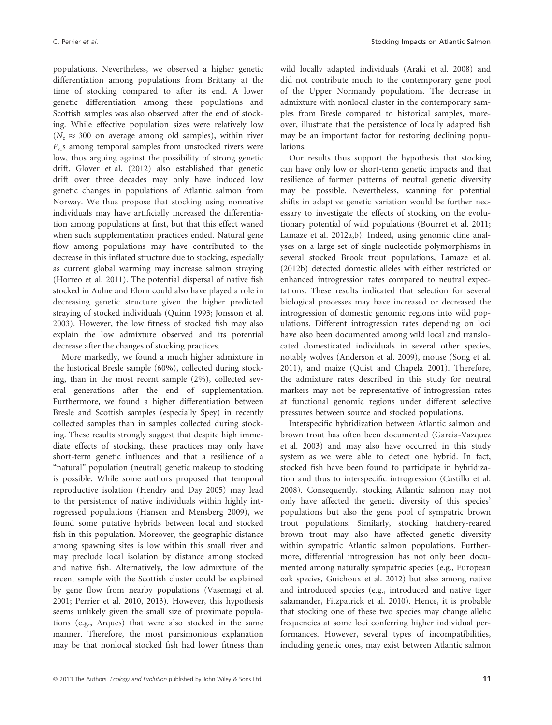populations. Nevertheless, we observed a higher genetic differentiation among populations from Brittany at the time of stocking compared to after its end. A lower genetic differentiation among these populations and Scottish samples was also observed after the end of stocking. While effective population sizes were relatively low  $(N_e \approx 300$  on average among old samples), within river  $F_{ST}$ s among temporal samples from unstocked rivers were low, thus arguing against the possibility of strong genetic drift. Glover et al. (2012) also established that genetic drift over three decades may only have induced low genetic changes in populations of Atlantic salmon from Norway. We thus propose that stocking using nonnative individuals may have artificially increased the differentiation among populations at first, but that this effect waned when such supplementation practices ended. Natural gene flow among populations may have contributed to the decrease in this inflated structure due to stocking, especially as current global warming may increase salmon straying (Horreo et al. 2011). The potential dispersal of native fish stocked in Aulne and Elorn could also have played a role in decreasing genetic structure given the higher predicted straying of stocked individuals (Quinn 1993; Jonsson et al. 2003). However, the low fitness of stocked fish may also explain the low admixture observed and its potential decrease after the changes of stocking practices.

More markedly, we found a much higher admixture in the historical Bresle sample (60%), collected during stocking, than in the most recent sample (2%), collected several generations after the end of supplementation. Furthermore, we found a higher differentiation between Bresle and Scottish samples (especially Spey) in recently collected samples than in samples collected during stocking. These results strongly suggest that despite high immediate effects of stocking, these practices may only have short-term genetic influences and that a resilience of a "natural" population (neutral) genetic makeup to stocking is possible. While some authors proposed that temporal reproductive isolation (Hendry and Day 2005) may lead to the persistence of native individuals within highly introgressed populations (Hansen and Mensberg 2009), we found some putative hybrids between local and stocked fish in this population. Moreover, the geographic distance among spawning sites is low within this small river and may preclude local isolation by distance among stocked and native fish. Alternatively, the low admixture of the recent sample with the Scottish cluster could be explained by gene flow from nearby populations (Vasemagi et al. 2001; Perrier et al. 2010, 2013). However, this hypothesis seems unlikely given the small size of proximate populations (e.g., Arques) that were also stocked in the same manner. Therefore, the most parsimonious explanation may be that nonlocal stocked fish had lower fitness than wild locally adapted individuals (Araki et al. 2008) and did not contribute much to the contemporary gene pool of the Upper Normandy populations. The decrease in admixture with nonlocal cluster in the contemporary samples from Bresle compared to historical samples, moreover, illustrate that the persistence of locally adapted fish may be an important factor for restoring declining populations.

Our results thus support the hypothesis that stocking can have only low or short-term genetic impacts and that resilience of former patterns of neutral genetic diversity may be possible. Nevertheless, scanning for potential shifts in adaptive genetic variation would be further necessary to investigate the effects of stocking on the evolutionary potential of wild populations (Bourret et al. 2011; Lamaze et al. 2012a,b). Indeed, using genomic cline analyses on a large set of single nucleotide polymorphisms in several stocked Brook trout populations, Lamaze et al. (2012b) detected domestic alleles with either restricted or enhanced introgression rates compared to neutral expectations. These results indicated that selection for several biological processes may have increased or decreased the introgression of domestic genomic regions into wild populations. Different introgression rates depending on loci have also been documented among wild local and translocated domesticated individuals in several other species, notably wolves (Anderson et al. 2009), mouse (Song et al. 2011), and maize (Quist and Chapela 2001). Therefore, the admixture rates described in this study for neutral markers may not be representative of introgression rates at functional genomic regions under different selective pressures between source and stocked populations.

Interspecific hybridization between Atlantic salmon and brown trout has often been documented (Garcia-Vazquez et al. 2003) and may also have occurred in this study system as we were able to detect one hybrid. In fact, stocked fish have been found to participate in hybridization and thus to interspecific introgression (Castillo et al. 2008). Consequently, stocking Atlantic salmon may not only have affected the genetic diversity of this species' populations but also the gene pool of sympatric brown trout populations. Similarly, stocking hatchery-reared brown trout may also have affected genetic diversity within sympatric Atlantic salmon populations. Furthermore, differential introgression has not only been documented among naturally sympatric species (e.g., European oak species, Guichoux et al. 2012) but also among native and introduced species (e.g., introduced and native tiger salamander, Fitzpatrick et al. 2010). Hence, it is probable that stocking one of these two species may change allelic frequencies at some loci conferring higher individual performances. However, several types of incompatibilities, including genetic ones, may exist between Atlantic salmon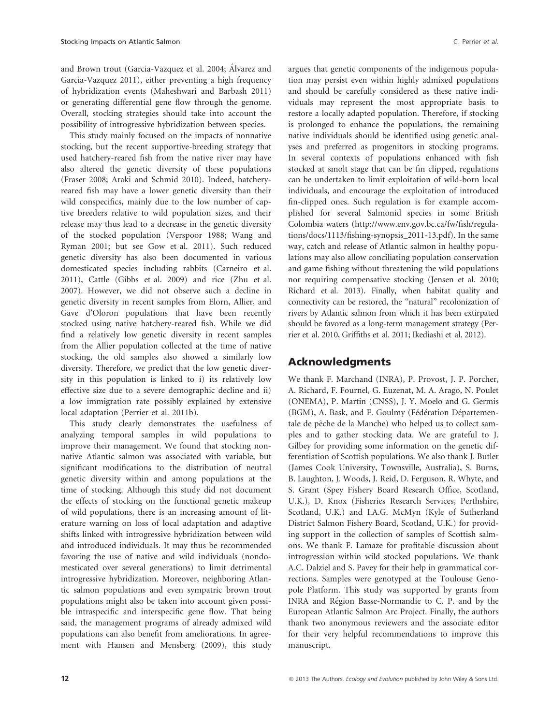and Brown trout (Garcia-Vazquez et al. 2004; Alvarez and Garcia-Vazquez 2011), either preventing a high frequency of hybridization events (Maheshwari and Barbash 2011) or generating differential gene flow through the genome. Overall, stocking strategies should take into account the possibility of introgressive hybridization between species.

This study mainly focused on the impacts of nonnative stocking, but the recent supportive-breeding strategy that used hatchery-reared fish from the native river may have also altered the genetic diversity of these populations (Fraser 2008; Araki and Schmid 2010). Indeed, hatcheryreared fish may have a lower genetic diversity than their wild conspecifics, mainly due to the low number of captive breeders relative to wild population sizes, and their release may thus lead to a decrease in the genetic diversity of the stocked population (Verspoor 1988; Wang and Ryman 2001; but see Gow et al. 2011). Such reduced genetic diversity has also been documented in various domesticated species including rabbits (Carneiro et al. 2011), Cattle (Gibbs et al. 2009) and rice (Zhu et al. 2007). However, we did not observe such a decline in genetic diversity in recent samples from Elorn, Allier, and Gave d'Oloron populations that have been recently stocked using native hatchery-reared fish. While we did find a relatively low genetic diversity in recent samples from the Allier population collected at the time of native stocking, the old samples also showed a similarly low diversity. Therefore, we predict that the low genetic diversity in this population is linked to i) its relatively low effective size due to a severe demographic decline and ii) a low immigration rate possibly explained by extensive local adaptation (Perrier et al. 2011b).

This study clearly demonstrates the usefulness of analyzing temporal samples in wild populations to improve their management. We found that stocking nonnative Atlantic salmon was associated with variable, but significant modifications to the distribution of neutral genetic diversity within and among populations at the time of stocking. Although this study did not document the effects of stocking on the functional genetic makeup of wild populations, there is an increasing amount of literature warning on loss of local adaptation and adaptive shifts linked with introgressive hybridization between wild and introduced individuals. It may thus be recommended favoring the use of native and wild individuals (nondomesticated over several generations) to limit detrimental introgressive hybridization. Moreover, neighboring Atlantic salmon populations and even sympatric brown trout populations might also be taken into account given possible intraspecific and interspecific gene flow. That being said, the management programs of already admixed wild populations can also benefit from ameliorations. In agreement with Hansen and Mensberg (2009), this study argues that genetic components of the indigenous population may persist even within highly admixed populations and should be carefully considered as these native individuals may represent the most appropriate basis to restore a locally adapted population. Therefore, if stocking is prolonged to enhance the populations, the remaining native individuals should be identified using genetic analyses and preferred as progenitors in stocking programs. In several contexts of populations enhanced with fish stocked at smolt stage that can be fin clipped, regulations can be undertaken to limit exploitation of wild-born local individuals, and encourage the exploitation of introduced fin-clipped ones. Such regulation is for example accomplished for several Salmonid species in some British Colombia waters (http://www.env.gov.bc.ca/fw/fish/regulations/docs/1113/fishing-synopsis\_2011-13.pdf). In the same way, catch and release of Atlantic salmon in healthy populations may also allow conciliating population conservation and game fishing without threatening the wild populations nor requiring compensative stocking (Jensen et al. 2010; Richard et al. 2013). Finally, when habitat quality and connectivity can be restored, the "natural" recolonization of rivers by Atlantic salmon from which it has been extirpated should be favored as a long-term management strategy (Perrier et al. 2010, Griffiths et al. 2011; Ikediashi et al. 2012).

# Acknowledgments

We thank F. Marchand (INRA), P. Provost, J. P. Porcher, A. Richard, F. Fournel, G. Euzenat, M. A. Arago, N. Poulet (ONEMA), P. Martin (CNSS), J. Y. Moelo and G. Germis (BGM), A. Bask, and F. Goulmy (Fédération Départementale de pêche de la Manche) who helped us to collect samples and to gather stocking data. We are grateful to J. Gilbey for providing some information on the genetic differentiation of Scottish populations. We also thank J. Butler (James Cook University, Townsville, Australia), S. Burns, B. Laughton, J. Woods, J. Reid, D. Ferguson, R. Whyte, and S. Grant (Spey Fishery Board Research Office, Scotland, U.K.), D. Knox (Fisheries Research Services, Perthshire, Scotland, U.K.) and I.A.G. McMyn (Kyle of Sutherland District Salmon Fishery Board, Scotland, U.K.) for providing support in the collection of samples of Scottish salmons. We thank F. Lamaze for profitable discussion about introgression within wild stocked populations. We thank A.C. Dalziel and S. Pavey for their help in grammatical corrections. Samples were genotyped at the Toulouse Genopole Platform. This study was supported by grants from INRA and Region Basse-Normandie to C. P. and by the European Atlantic Salmon Arc Project. Finally, the authors thank two anonymous reviewers and the associate editor for their very helpful recommendations to improve this manuscript.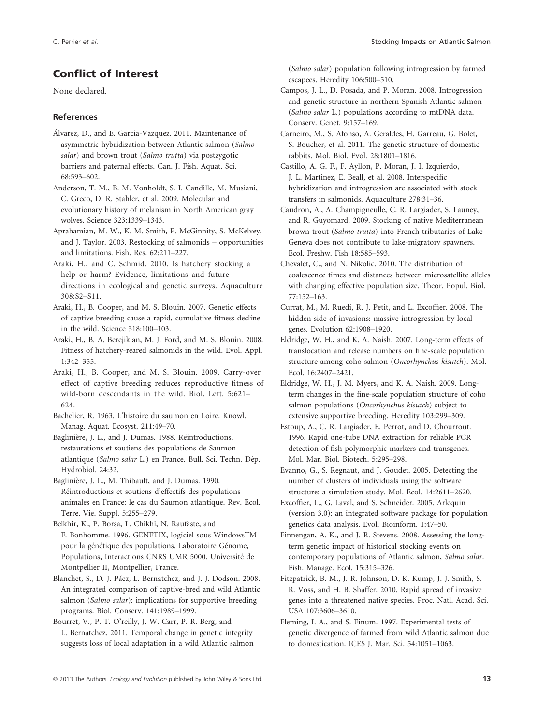# Conflict of Interest

None declared.

#### References

- Alvarez, D., and E. Garcia-Vazquez. 2011. Maintenance of asymmetric hybridization between Atlantic salmon (Salmo salar) and brown trout (Salmo trutta) via postzygotic barriers and paternal effects. Can. J. Fish. Aquat. Sci. 68:593–602.
- Anderson, T. M., B. M. Vonholdt, S. I. Candille, M. Musiani, C. Greco, D. R. Stahler, et al. 2009. Molecular and evolutionary history of melanism in North American gray wolves. Science 323:1339–1343.
- Aprahamian, M. W., K. M. Smith, P. McGinnity, S. McKelvey, and J. Taylor. 2003. Restocking of salmonids – opportunities and limitations. Fish. Res. 62:211–227.
- Araki, H., and C. Schmid. 2010. Is hatchery stocking a help or harm? Evidence, limitations and future directions in ecological and genetic surveys. Aquaculture 308:S2–S11.
- Araki, H., B. Cooper, and M. S. Blouin. 2007. Genetic effects of captive breeding cause a rapid, cumulative fitness decline in the wild. Science 318:100–103.
- Araki, H., B. A. Berejikian, M. J. Ford, and M. S. Blouin. 2008. Fitness of hatchery-reared salmonids in the wild. Evol. Appl. 1:342–355.
- Araki, H., B. Cooper, and M. S. Blouin. 2009. Carry-over effect of captive breeding reduces reproductive fitness of wild-born descendants in the wild. Biol. Lett. 5:621– 624.
- Bachelier, R. 1963. L'histoire du saumon en Loire. Knowl. Manag. Aquat. Ecosyst. 211:49–70.
- Bagliniere, J. L., and J. Dumas. 1988. Reintroductions, restaurations et soutiens des populations de Saumon atlantique (Salmo salar L.) en France. Bull. Sci. Techn. Dép. Hydrobiol. 24:32.
- Bagliniere, J. L., M. Thibault, and J. Dumas. 1990. Reintroductions et soutiens d'effectifs des populations animales en France: le cas du Saumon atlantique. Rev. Ecol. Terre. Vie. Suppl. 5:255–279.

Belkhir, K., P. Borsa, L. Chikhi, N. Raufaste, and F. Bonhomme. 1996. GENETIX, logiciel sous WindowsTM pour la génétique des populations. Laboratoire Génome, Populations, Interactions CNRS UMR 5000. Universite de Montpellier II, Montpellier, France.

- Blanchet, S., D. J. Páez, L. Bernatchez, and J. J. Dodson. 2008. An integrated comparison of captive-bred and wild Atlantic salmon (Salmo salar): implications for supportive breeding programs. Biol. Conserv. 141:1989–1999.
- Bourret, V., P. T. O'reilly, J. W. Carr, P. R. Berg, and L. Bernatchez. 2011. Temporal change in genetic integrity suggests loss of local adaptation in a wild Atlantic salmon

(Salmo salar) population following introgression by farmed escapees. Heredity 106:500–510.

- Campos, J. L., D. Posada, and P. Moran. 2008. Introgression and genetic structure in northern Spanish Atlantic salmon (Salmo salar L.) populations according to mtDNA data. Conserv. Genet. 9:157–169.
- Carneiro, M., S. Afonso, A. Geraldes, H. Garreau, G. Bolet, S. Boucher, et al. 2011. The genetic structure of domestic rabbits. Mol. Biol. Evol. 28:1801–1816.
- Castillo, A. G. F., F. Ayllon, P. Moran, J. I. Izquierdo, J. L. Martinez, E. Beall, et al. 2008. Interspecific hybridization and introgression are associated with stock transfers in salmonids. Aquaculture 278:31–36.
- Caudron, A., A. Champigneulle, C. R. Largiader, S. Launey, and R. Guyomard. 2009. Stocking of native Mediterranean brown trout (Salmo trutta) into French tributaries of Lake Geneva does not contribute to lake-migratory spawners. Ecol. Freshw. Fish 18:585–593.
- Chevalet, C., and N. Nikolic. 2010. The distribution of coalescence times and distances between microsatellite alleles with changing effective population size. Theor. Popul. Biol. 77:152–163.
- Currat, M., M. Ruedi, R. J. Petit, and L. Excoffier. 2008. The hidden side of invasions: massive introgression by local genes. Evolution 62:1908–1920.
- Eldridge, W. H., and K. A. Naish. 2007. Long-term effects of translocation and release numbers on fine-scale population structure among coho salmon (Oncorhynchus kisutch). Mol. Ecol. 16:2407–2421.
- Eldridge, W. H., J. M. Myers, and K. A. Naish. 2009. Longterm changes in the fine-scale population structure of coho salmon populations (Oncorhynchus kisutch) subject to extensive supportive breeding. Heredity 103:299–309.
- Estoup, A., C. R. Largiader, E. Perrot, and D. Chourrout. 1996. Rapid one-tube DNA extraction for reliable PCR detection of fish polymorphic markers and transgenes. Mol. Mar. Biol. Biotech. 5:295–298.
- Evanno, G., S. Regnaut, and J. Goudet. 2005. Detecting the number of clusters of individuals using the software structure: a simulation study. Mol. Ecol. 14:2611–2620.
- Excoffier, L., G. Laval, and S. Schneider. 2005. Arlequin (version 3.0): an integrated software package for population genetics data analysis. Evol. Bioinform. 1:47–50.
- Finnengan, A. K., and J. R. Stevens. 2008. Assessing the longterm genetic impact of historical stocking events on contemporary populations of Atlantic salmon, Salmo salar. Fish. Manage. Ecol. 15:315–326.
- Fitzpatrick, B. M., J. R. Johnson, D. K. Kump, J. J. Smith, S. R. Voss, and H. B. Shaffer. 2010. Rapid spread of invasive genes into a threatened native species. Proc. Natl. Acad. Sci. USA 107:3606–3610.
- Fleming, I. A., and S. Einum. 1997. Experimental tests of genetic divergence of farmed from wild Atlantic salmon due to domestication. ICES J. Mar. Sci. 54:1051–1063.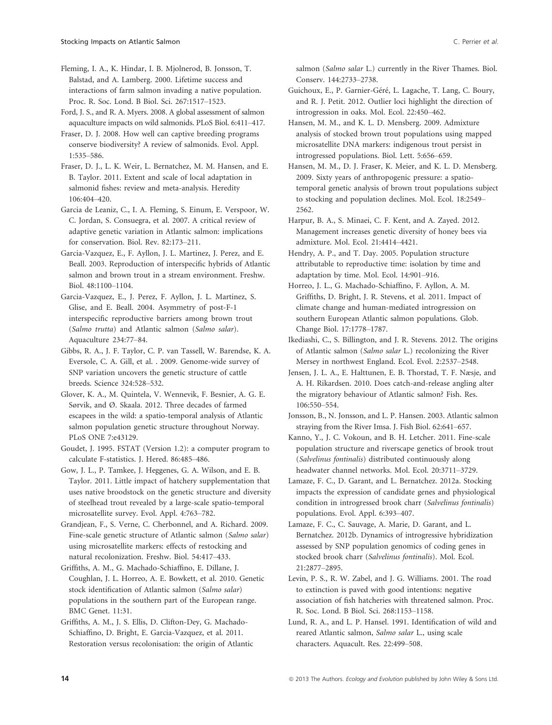Fleming, I. A., K. Hindar, I. B. Mjolnerod, B. Jonsson, T. Balstad, and A. Lamberg. 2000. Lifetime success and interactions of farm salmon invading a native population. Proc. R. Soc. Lond. B Biol. Sci. 267:1517–1523.

Ford, J. S., and R. A. Myers. 2008. A global assessment of salmon aquaculture impacts on wild salmonids. PLoS Biol. 6:411–417.

Fraser, D. J. 2008. How well can captive breeding programs conserve biodiversity? A review of salmonids. Evol. Appl. 1:535–586.

Fraser, D. J., L. K. Weir, L. Bernatchez, M. M. Hansen, and E. B. Taylor. 2011. Extent and scale of local adaptation in salmonid fishes: review and meta-analysis. Heredity 106:404–420.

Garcia de Leaniz, C., I. A. Fleming, S. Einum, E. Verspoor, W. C. Jordan, S. Consuegra, et al. 2007. A critical review of adaptive genetic variation in Atlantic salmon: implications for conservation. Biol. Rev. 82:173–211.

Garcia-Vazquez, E., F. Ayllon, J. L. Martinez, J. Perez, and E. Beall. 2003. Reproduction of interspecific hybrids of Atlantic salmon and brown trout in a stream environment. Freshw. Biol. 48:1100–1104.

Garcia-Vazquez, E., J. Perez, F. Ayllon, J. L. Martinez, S. Glise, and E. Beall. 2004. Asymmetry of post-F-1 interspecific reproductive barriers among brown trout (Salmo trutta) and Atlantic salmon (Salmo salar). Aquaculture 234:77–84.

Gibbs, R. A., J. F. Taylor, C. P. van Tassell, W. Barendse, K. A. Eversole, C. A. Gill, et al. . 2009. Genome-wide survey of SNP variation uncovers the genetic structure of cattle breeds. Science 324:528–532.

Glover, K. A., M. Quintela, V. Wennevik, F. Besnier, A. G. E. Sørvik, and Ø. Skaala. 2012. Three decades of farmed escapees in the wild: a spatio-temporal analysis of Atlantic salmon population genetic structure throughout Norway. PLoS ONE 7:e43129.

Goudet, J. 1995. FSTAT (Version 1.2): a computer program to calculate F-statistics. J. Hered. 86:485–486.

Gow, J. L., P. Tamkee, J. Heggenes, G. A. Wilson, and E. B. Taylor. 2011. Little impact of hatchery supplementation that uses native broodstock on the genetic structure and diversity of steelhead trout revealed by a large-scale spatio-temporal microsatellite survey. Evol. Appl. 4:763–782.

Grandjean, F., S. Verne, C. Cherbonnel, and A. Richard. 2009. Fine-scale genetic structure of Atlantic salmon (Salmo salar) using microsatellite markers: effects of restocking and natural recolonization. Freshw. Biol. 54:417–433.

Griffiths, A. M., G. Machado-Schiaffino, E. Dillane, J. Coughlan, J. L. Horreo, A. E. Bowkett, et al. 2010. Genetic stock identification of Atlantic salmon (Salmo salar) populations in the southern part of the European range. BMC Genet. 11:31.

Griffiths, A. M., J. S. Ellis, D. Clifton-Dey, G. Machado-Schiaffino, D. Bright, E. Garcia-Vazquez, et al. 2011. Restoration versus recolonisation: the origin of Atlantic salmon (Salmo salar L.) currently in the River Thames. Biol. Conserv. 144:2733–2738.

Guichoux, E., P. Garnier-Géré, L. Lagache, T. Lang, C. Boury, and R. J. Petit. 2012. Outlier loci highlight the direction of introgression in oaks. Mol. Ecol. 22:450–462.

Hansen, M. M., and K. L. D. Mensberg. 2009. Admixture analysis of stocked brown trout populations using mapped microsatellite DNA markers: indigenous trout persist in introgressed populations. Biol. Lett. 5:656–659.

Hansen, M. M., D. J. Fraser, K. Meier, and K. L. D. Mensberg. 2009. Sixty years of anthropogenic pressure: a spatiotemporal genetic analysis of brown trout populations subject to stocking and population declines. Mol. Ecol. 18:2549– 2562.

Harpur, B. A., S. Minaei, C. F. Kent, and A. Zayed. 2012. Management increases genetic diversity of honey bees via admixture. Mol. Ecol. 21:4414–4421.

Hendry, A. P., and T. Day. 2005. Population structure attributable to reproductive time: isolation by time and adaptation by time. Mol. Ecol. 14:901–916.

Horreo, J. L., G. Machado-Schiaffino, F. Ayllon, A. M. Griffiths, D. Bright, J. R. Stevens, et al. 2011. Impact of climate change and human-mediated introgression on southern European Atlantic salmon populations. Glob. Change Biol. 17:1778–1787.

Ikediashi, C., S. Billington, and J. R. Stevens. 2012. The origins of Atlantic salmon (Salmo salar L.) recolonizing the River Mersey in northwest England. Ecol. Evol. 2:2537–2548.

Jensen, J. L. A., E. Halttunen, E. B. Thorstad, T. F. Næsje, and A. H. Rikardsen. 2010. Does catch-and-release angling alter the migratory behaviour of Atlantic salmon? Fish. Res. 106:550–554.

Jonsson, B., N. Jonsson, and L. P. Hansen. 2003. Atlantic salmon straying from the River Imsa. J. Fish Biol. 62:641–657.

Kanno, Y., J. C. Vokoun, and B. H. Letcher. 2011. Fine-scale population structure and riverscape genetics of brook trout (Salvelinus fontinalis) distributed continuously along headwater channel networks. Mol. Ecol. 20:3711–3729.

Lamaze, F. C., D. Garant, and L. Bernatchez. 2012a. Stocking impacts the expression of candidate genes and physiological condition in introgressed brook charr (Salvelinus fontinalis) populations. Evol. Appl. 6:393–407.

Lamaze, F. C., C. Sauvage, A. Marie, D. Garant, and L. Bernatchez. 2012b. Dynamics of introgressive hybridization assessed by SNP population genomics of coding genes in stocked brook charr (Salvelinus fontinalis). Mol. Ecol. 21:2877–2895.

Levin, P. S., R. W. Zabel, and J. G. Williams. 2001. The road to extinction is paved with good intentions: negative association of fish hatcheries with threatened salmon. Proc. R. Soc. Lond. B Biol. Sci. 268:1153–1158.

Lund, R. A., and L. P. Hansel. 1991. Identification of wild and reared Atlantic salmon, Salmo salar L., using scale characters. Aquacult. Res. 22:499–508.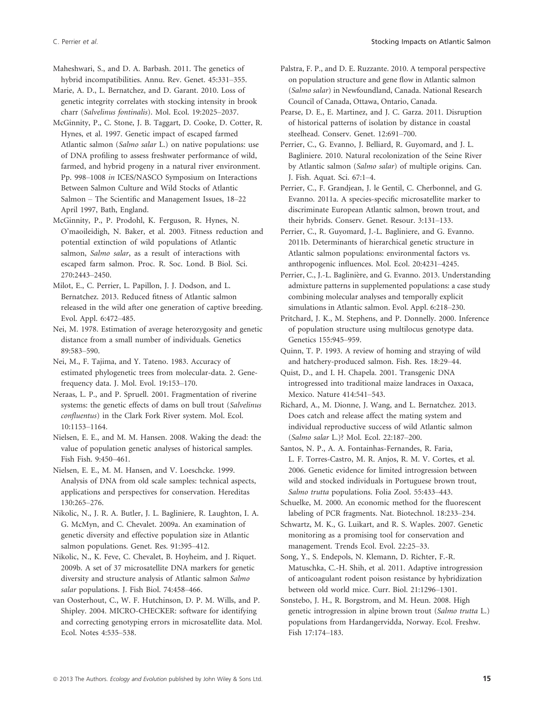Maheshwari, S., and D. A. Barbash. 2011. The genetics of hybrid incompatibilities. Annu. Rev. Genet. 45:331–355.

Marie, A. D., L. Bernatchez, and D. Garant. 2010. Loss of genetic integrity correlates with stocking intensity in brook charr (Salvelinus fontinalis). Mol. Ecol. 19:2025–2037.

McGinnity, P., C. Stone, J. B. Taggart, D. Cooke, D. Cotter, R. Hynes, et al. 1997. Genetic impact of escaped farmed Atlantic salmon (Salmo salar L.) on native populations: use of DNA profiling to assess freshwater performance of wild, farmed, and hybrid progeny in a natural river environment. Pp. 998–1008 in ICES/NASCO Symposium on Interactions Between Salmon Culture and Wild Stocks of Atlantic Salmon – The Scientific and Management Issues, 18–22 April 1997, Bath, England.

McGinnity, P., P. Prodohl, K. Ferguson, R. Hynes, N. O'maoileidigh, N. Baker, et al. 2003. Fitness reduction and potential extinction of wild populations of Atlantic salmon, Salmo salar, as a result of interactions with escaped farm salmon. Proc. R. Soc. Lond. B Biol. Sci. 270:2443–2450.

Milot, E., C. Perrier, L. Papillon, J. J. Dodson, and L. Bernatchez. 2013. Reduced fitness of Atlantic salmon released in the wild after one generation of captive breeding. Evol. Appl. 6:472–485.

Nei, M. 1978. Estimation of average heterozygosity and genetic distance from a small number of individuals. Genetics 89:583–590.

Nei, M., F. Tajima, and Y. Tateno. 1983. Accuracy of estimated phylogenetic trees from molecular-data. 2. Genefrequency data. J. Mol. Evol. 19:153–170.

Neraas, L. P., and P. Spruell. 2001. Fragmentation of riverine systems: the genetic effects of dams on bull trout (Salvelinus confluentus) in the Clark Fork River system. Mol. Ecol. 10:1153–1164.

Nielsen, E. E., and M. M. Hansen. 2008. Waking the dead: the value of population genetic analyses of historical samples. Fish Fish. 9:450–461.

Nielsen, E. E., M. M. Hansen, and V. Loeschcke. 1999. Analysis of DNA from old scale samples: technical aspects, applications and perspectives for conservation. Hereditas 130:265–276.

Nikolic, N., J. R. A. Butler, J. L. Bagliniere, R. Laughton, I. A. G. McMyn, and C. Chevalet. 2009a. An examination of genetic diversity and effective population size in Atlantic salmon populations. Genet. Res. 91:395–412.

Nikolic, N., K. Feve, C. Chevalet, B. Hoyheim, and J. Riquet. 2009b. A set of 37 microsatellite DNA markers for genetic diversity and structure analysis of Atlantic salmon Salmo salar populations. J. Fish Biol. 74:458–466.

van Oosterhout, C., W. F. Hutchinson, D. P. M. Wills, and P. Shipley. 2004. MICRO-CHECKER: software for identifying and correcting genotyping errors in microsatellite data. Mol. Ecol. Notes 4:535–538.

Palstra, F. P., and D. E. Ruzzante. 2010. A temporal perspective on population structure and gene flow in Atlantic salmon (Salmo salar) in Newfoundland, Canada. National Research Council of Canada, Ottawa, Ontario, Canada.

Pearse, D. E., E. Martinez, and J. C. Garza. 2011. Disruption of historical patterns of isolation by distance in coastal steelhead. Conserv. Genet. 12:691–700.

Perrier, C., G. Evanno, J. Belliard, R. Guyomard, and J. L. Bagliniere. 2010. Natural recolonization of the Seine River by Atlantic salmon (Salmo salar) of multiple origins. Can. J. Fish. Aquat. Sci. 67:1–4.

Perrier, C., F. Grandjean, J. le Gentil, C. Cherbonnel, and G. Evanno. 2011a. A species-specific microsatellite marker to discriminate European Atlantic salmon, brown trout, and their hybrids. Conserv. Genet. Resour. 3:131–133.

Perrier, C., R. Guyomard, J.-L. Bagliniere, and G. Evanno. 2011b. Determinants of hierarchical genetic structure in Atlantic salmon populations: environmental factors vs. anthropogenic influences. Mol. Ecol. 20:4231–4245.

Perrier, C., J.-L. Bagliniere, and G. Evanno. 2013. Understanding admixture patterns in supplemented populations: a case study combining molecular analyses and temporally explicit simulations in Atlantic salmon. Evol. Appl. 6:218–230.

Pritchard, J. K., M. Stephens, and P. Donnelly. 2000. Inference of population structure using multilocus genotype data. Genetics 155:945–959.

Quinn, T. P. 1993. A review of homing and straying of wild and hatchery-produced salmon. Fish. Res. 18:29–44.

Quist, D., and I. H. Chapela. 2001. Transgenic DNA introgressed into traditional maize landraces in Oaxaca, Mexico. Nature 414:541–543.

Richard, A., M. Dionne, J. Wang, and L. Bernatchez. 2013. Does catch and release affect the mating system and individual reproductive success of wild Atlantic salmon (Salmo salar L.)? Mol. Ecol. 22:187–200.

Santos, N. P., A. A. Fontainhas-Fernandes, R. Faria, L. F. Torres-Castro, M. R. Anjos, R. M. V. Cortes, et al. 2006. Genetic evidence for limited introgression between wild and stocked individuals in Portuguese brown trout, Salmo trutta populations. Folia Zool. 55:433–443.

Schuelke, M. 2000. An economic method for the fluorescent labeling of PCR fragments. Nat. Biotechnol. 18:233–234.

Schwartz, M. K., G. Luikart, and R. S. Waples. 2007. Genetic monitoring as a promising tool for conservation and management. Trends Ecol. Evol. 22:25–33.

Song, Y., S. Endepols, N. Klemann, D. Richter, F.-R. Matuschka, C.-H. Shih, et al. 2011. Adaptive introgression of anticoagulant rodent poison resistance by hybridization between old world mice. Curr. Biol. 21:1296–1301.

Sonstebo, J. H., R. Borgstrom, and M. Heun. 2008. High genetic introgression in alpine brown trout (Salmo trutta L.) populations from Hardangervidda, Norway. Ecol. Freshw. Fish 17:174–183.